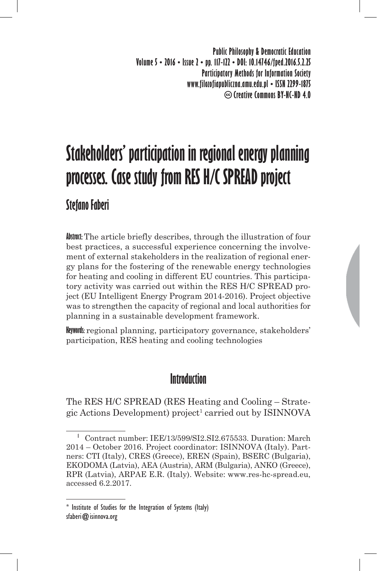**Public Philosophy & Democratic Education Volume 5 • 2016 • Issue 2 • pp. 117-122 • DOI: 10.14746/fped.2016.5.2.25 Participatory Methods for Information Society www.filozofiapubliczna.amu.edu.pl • ISSN 2299-1875 Creative Commons BY-NC-ND 4.0**

# **Stakeholders' participation in regional energy planning processes. Case study from RES H/C SPREAD project**

# **Stefano Faberi**

**Abstract:** The article briefly describes, through the illustration of four best practices, a successful experience concerning the involvement of external stakeholders in the realization of regional energy plans for the fostering of the renewable energy technologies for heating and cooling in different EU countries. This participatory activity was carried out within the RES H/C SPREAD project (EU Intelligent Energy Program 2014-2016). Project objective was to strengthen the capacity of regional and local authorities for planning in a sustainable development framework.

**Keywords:** regional planning, participatory governance, stakeholders' participation, RES heating and cooling technologies

## **Introduction**

The RES H/C SPREAD (RES Heating and Cooling – Strategic Actions Development) project<sup>1</sup> carried out by ISINNOVA

**<sup>1</sup>** Contract number: IEE/13/599/SI2.SI2.675533. Duration: March 2014 – October 2016. Project coordinator: ISINNOVA (Italy). Partners: CTI (Italy), CRES (Greece), EREN (Spain), BSERC (Bulgaria), EKODOMA (Latvia), AEA (Austria), ARM (Bulgaria), ANKO (Greece), RPR (Latvia), ARPAE E.R. (Italy). Website: www.res-hc-spread.eu, accessed 6.2.2017.

<sup>\*</sup> Institute of Studies for the Integration of Systems (Italy) sfaberi@isinnova.org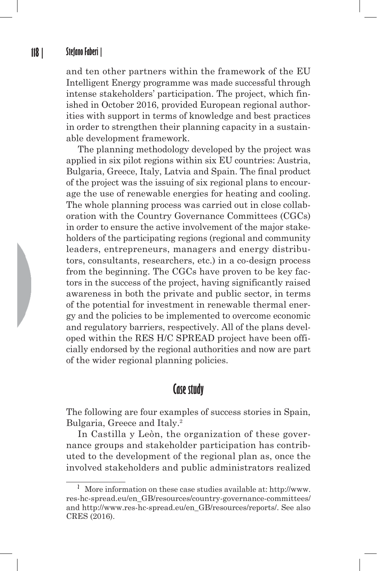#### **118 | Stefano Faberi |**

and ten other partners within the framework of the EU Intelligent Energy programme was made successful through intense stakeholders' participation. The project, which finished in October 2016, provided European regional authorities with support in terms of knowledge and best practices in order to strengthen their planning capacity in a sustainable development framework.

The planning methodology developed by the project was applied in six pilot regions within six EU countries: Austria, Bulgaria, Greece, Italy, Latvia and Spain. The final product of the project was the issuing of six regional plans to encourage the use of renewable energies for heating and cooling. The whole planning process was carried out in close collaboration with the Country Governance Committees (CGCs) in order to ensure the active involvement of the major stakeholders of the participating regions (regional and community leaders, entrepreneurs, managers and energy distributors, consultants, researchers, etc.) in a co-design process from the beginning. The CGCs have proven to be key factors in the success of the project, having significantly raised awareness in both the private and public sector, in terms of the potential for investment in renewable thermal energy and the policies to be implemented to overcome economic and regulatory barriers, respectively. All of the plans developed within the RES H/C SPREAD project have been officially endorsed by the regional authorities and now are part of the wider regional planning policies.

#### **Case study**

The following are four examples of success stories in Spain, Bulgaria, Greece and Italy.<sup>2</sup>

In Castilla y Leòn, the organization of these governance groups and stakeholder participation has contributed to the development of the regional plan as, once the involved stakeholders and public administrators realized

**<sup>2</sup>** More information on these case studies available at: http://www. res-hc-spread.eu/en\_GB/resources/country-governance-committees/ and http://www.res-hc-spread.eu/en\_GB/resources/reports/. See also CRES (2016).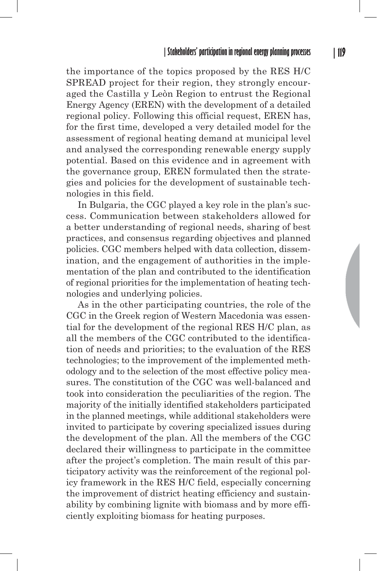the importance of the topics proposed by the RES H/C SPREAD project for their region, they strongly encouraged the Castilla y Leòn Region to entrust the Regional Energy Agency (EREN) with the development of a detailed regional policy. Following this official request, EREN has, for the first time, developed a very detailed model for the assessment of regional heating demand at municipal level and analysed the corresponding renewable energy supply potential. Based on this evidence and in agreement with the governance group, EREN formulated then the strategies and policies for the development of sustainable technologies in this field.

In Bulgaria, the CGC played a key role in the plan's success. Communication between stakeholders allowed for a better understanding of regional needs, sharing of best practices, and consensus regarding objectives and planned policies. CGC members helped with data collection, dissemination, and the engagement of authorities in the implementation of the plan and contributed to the identification of regional priorities for the implementation of heating technologies and underlying policies.

As in the other participating countries, the role of the CGC in the Greek region of Western Macedonia was essential for the development of the regional RES H/C plan, as all the members of the CGC contributed to the identification of needs and priorities; to the evaluation of the RES technologies; to the improvement of the implemented methodology and to the selection of the most effective policy measures. The constitution of the CGC was well-balanced and took into consideration the peculiarities of the region. The majority of the initially identified stakeholders participated in the planned meetings, while additional stakeholders were invited to participate by covering specialized issues during the development of the plan. All the members of the CGC declared their willingness to participate in the committee after the project's completion. The main result of this participatory activity was the reinforcement of the regional policy framework in the RES H/C field, especially concerning the improvement of district heating efficiency and sustainability by combining lignite with biomass and by more efficiently exploiting biomass for heating purposes.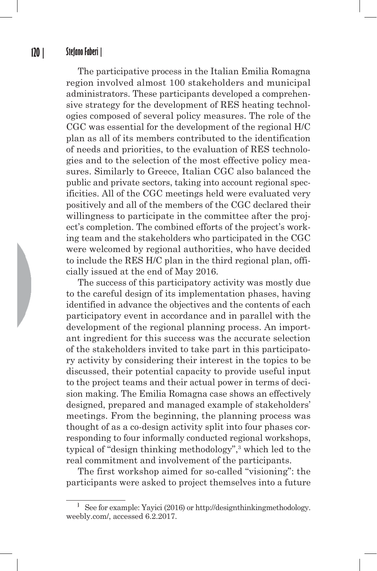The participative process in the Italian Emilia Romagna region involved almost 100 stakeholders and municipal administrators. These participants developed a comprehensive strategy for the development of RES heating technologies composed of several policy measures. The role of the CGC was essential for the development of the regional H/C plan as all of its members contributed to the identification of needs and priorities, to the evaluation of RES technologies and to the selection of the most effective policy measures. Similarly to Greece, Italian CGC also balanced the public and private sectors, taking into account regional specificities. All of the CGC meetings held were evaluated very positively and all of the members of the CGC declared their willingness to participate in the committee after the project's completion. The combined efforts of the project's working team and the stakeholders who participated in the CGC were welcomed by regional authorities, who have decided to include the RES H/C plan in the third regional plan, officially issued at the end of May 2016.

The success of this participatory activity was mostly due to the careful design of its implementation phases, having identified in advance the objectives and the contents of each participatory event in accordance and in parallel with the development of the regional planning process. An important ingredient for this success was the accurate selection of the stakeholders invited to take part in this participatory activity by considering their interest in the topics to be discussed, their potential capacity to provide useful input to the project teams and their actual power in terms of decision making. The Emilia Romagna case shows an effectively designed, prepared and managed example of stakeholders' meetings. From the beginning, the planning process was thought of as a co-design activity split into four phases corresponding to four informally conducted regional workshops, typical of "design thinking methodology",3 which led to the real commitment and involvement of the participants.

The first workshop aimed for so-called "visioning": the participants were asked to project themselves into a future

**<sup>3</sup>** See for example: Yayici (2016) or http://designthinkingmethodology. weebly.com/, accessed 6.2.2017.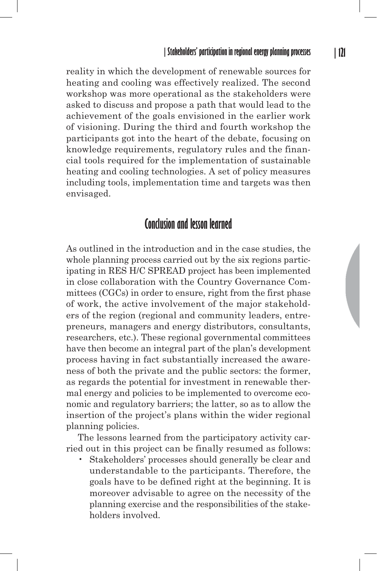reality in which the development of renewable sources for heating and cooling was effectively realized. The second workshop was more operational as the stakeholders were asked to discuss and propose a path that would lead to the achievement of the goals envisioned in the earlier work of visioning. During the third and fourth workshop the participants got into the heart of the debate, focusing on knowledge requirements, regulatory rules and the financial tools required for the implementation of sustainable heating and cooling technologies. A set of policy measures including tools, implementation time and targets was then envisaged.

### **Conclusion and lesson learned**

As outlined in the introduction and in the case studies, the whole planning process carried out by the six regions participating in RES H/C SPREAD project has been implemented in close collaboration with the Country Governance Committees (CGCs) in order to ensure, right from the first phase of work, the active involvement of the major stakeholders of the region (regional and community leaders, entrepreneurs, managers and energy distributors, consultants, researchers, etc.). These regional governmental committees have then become an integral part of the plan's development process having in fact substantially increased the awareness of both the private and the public sectors: the former, as regards the potential for investment in renewable thermal energy and policies to be implemented to overcome economic and regulatory barriers; the latter, so as to allow the insertion of the project's plans within the wider regional planning policies.

The lessons learned from the participatory activity carried out in this project can be finally resumed as follows:

• Stakeholders' processes should generally be clear and understandable to the participants. Therefore, the goals have to be defined right at the beginning. It is moreover advisable to agree on the necessity of the planning exercise and the responsibilities of the stakeholders involved.